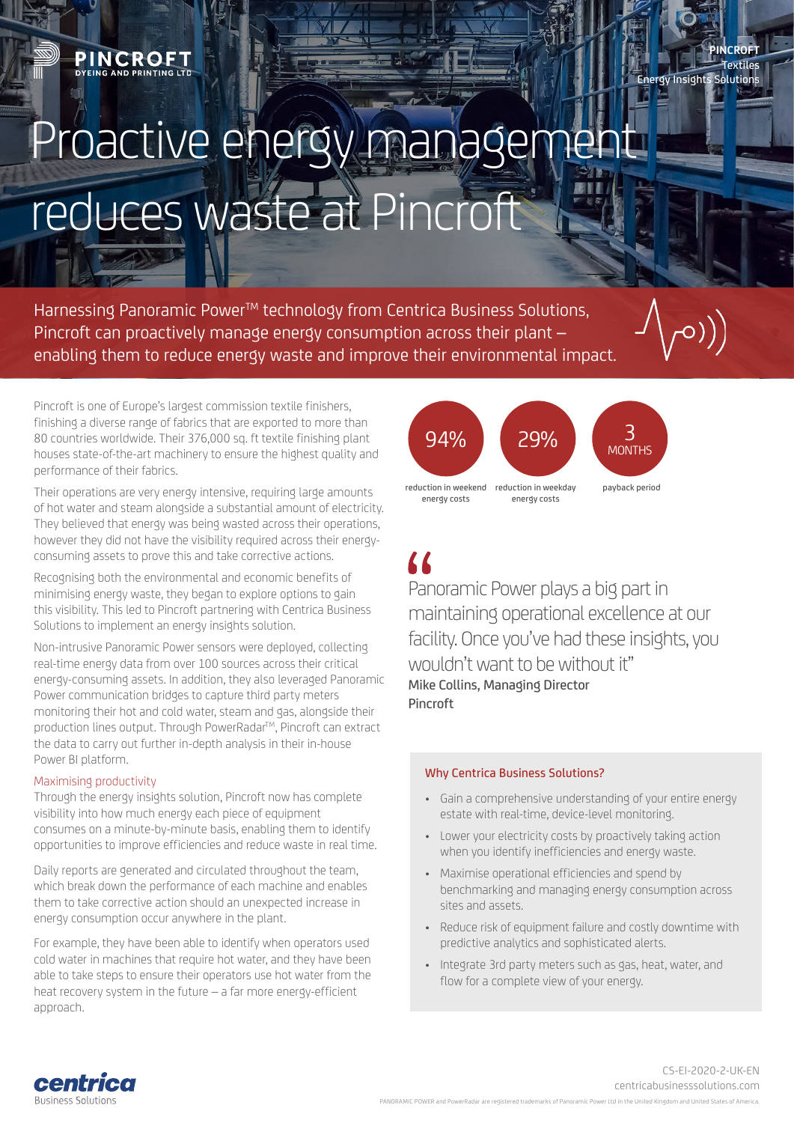Energy Insights Solutions

## Proactive energy manager reduces waste at Pincroft

Harnessing Panoramic Power™ technology from Centrica Business Solutions, Pincroft can proactively manage energy consumption across their plant – enabling them to reduce energy waste and improve their environmental impact.

Pincroft is one of Europe's largest commission textile finishers, finishing a diverse range of fabrics that are exported to more than 80 countries worldwide. Their 376,000 sq. ft textile finishing plant houses state-of-the-art machinery to ensure the highest quality and performance of their fabrics.

Their operations are very energy intensive, requiring large amounts of hot water and steam alongside a substantial amount of electricity. They believed that energy was being wasted across their operations, however they did not have the visibility required across their energyconsuming assets to prove this and take corrective actions.

Recognising both the environmental and economic benefits of minimising energy waste, they began to explore options to gain this visibility. This led to Pincroft partnering with Centrica Business Solutions to implement an energy insights solution.

Non-intrusive Panoramic Power sensors were deployed, collecting real-time energy data from over 100 sources across their critical energy-consuming assets. In addition, they also leveraged Panoramic Power communication bridges to capture third party meters monitoring their hot and cold water, steam and gas, alongside their production lines output. Through PowerRadar™, Pincroft can extract the data to carry out further in-depth analysis in their in-house Power BI platform.

## Maximising productivity

Through the energy insights solution, Pincroft now has complete visibility into how much energy each piece of equipment consumes on a minute-by-minute basis, enabling them to identify opportunities to improve efficiencies and reduce waste in real time.

Daily reports are generated and circulated throughout the team, which break down the performance of each machine and enables them to take corrective action should an unexpected increase in energy consumption occur anywhere in the plant.

For example, they have been able to identify when operators used cold water in machines that require hot water, and they have been able to take steps to ensure their operators use hot water from the heat recovery system in the future – a far more energy-efficient approach.



Panoramic Power plays a big part in maintaining operational excellence at our facility. Once you've had these insights, you wouldn't want to be without it" Mike Collins, Managing Director Pincroft

## Why Centrica Business Solutions?

- Gain a comprehensive understanding of your entire energy estate with real-time, device-level monitoring.
- Lower your electricity costs by proactively taking action when you identify inefficiencies and energy waste.
- Maximise operational efficiencies and spend by benchmarking and managing energy consumption across sites and assets.
- Reduce risk of equipment failure and costly downtime with predictive analytics and sophisticated alerts.
- Integrate 3rd party meters such as gas, heat, water, and flow for a complete view of your energy.